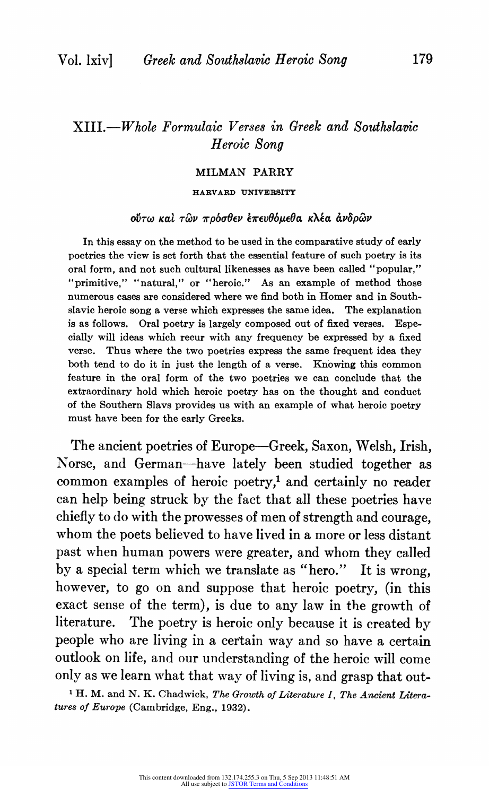# $XIII$ .-Whole Formulaic Verses in Greek and Southslavic Heroic Song

## MILMAN PARRY

#### HARVARD UNIVERSITY

### $o\tilde{v}$ τω καί τῶν πρόσθεν ἐπευθόμεθα κλέα άνδρῶν

In this essay on the method to be used in the comparative study of early poetries the view is set forth that the essential feature of such poetry is its oral form, and not such cultural likenesses as have been called "popular," "primitive," "natural," or "heroic." As an example of method those numerous cases are considered where we find both in Homer and in Southslavic heroic song a verse which expresses the same idea. The explanation is as follows. Oral poetry is largely composed out of fixed verses. Especially will ideas which recur with any frequency be expressed by a fixed verse. Thus where the two poetries express the same frequent idea they both tend to do it in just the length of a verse. Knowing this common feature in the oral form of the two poetries we can conclude that the extraordinary hold which heroic poetry has on the thought and conduct of the Southern Slavs provides us with an example of what heroic poetry must have been for the early Greeks.

The ancient poetries of Europe-Greek, Saxon, Welsh, Irish, Norse, and German-have lately been studied together as common examples of heroic poetry,<sup>1</sup> and certainly no reader can help being struck by the fact that all these poetries have chiefly to do with the prowesses of men of strength and courage, whom the poets believed to have lived in a more or less distant past when human powers were greater, and whom they called by a special term which we translate as "hero." It is wrong, however, to go on and suppose that heroic poetry, (in this exact sense of the term), is due to any law in the growth of literature. The poetry is heroic only because it is created by people who are living in a certain way and so have a certain outlook on life, and our understanding of the heroic will come only as we learn what that way of living is, and grasp that out-

<sup>1</sup> H. M. and N. K. Chadwick, The Growth of Literature I, The Ancient Literatures of Europe (Cambridge, Eng., 1932).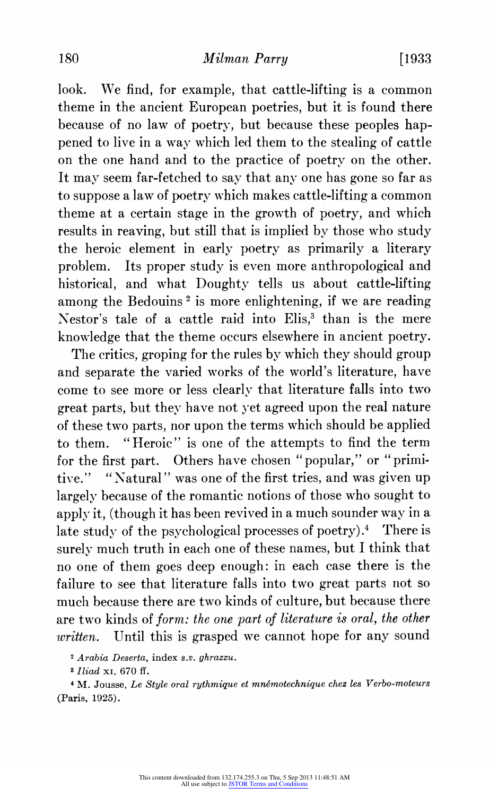look. We find, for example, that cattle-lifting is a common theme in the ancient European poetries, but it is found there because of no law of poetry, but because these peoples happened to live in a way which led them to the stealing of cattle on the one hand and to the practice of poetry on the other. It may seem far-fetched to say that any one has gone so far as to suppose a law of poetry which makes cattle-lifting a common theme at a certain stage in the growth of poetry, and which results in reaving, but still that is implied by those who study the heroic element in early poetry as primarily a literary problem. Its proper study is even more anthropological and historical, and what Doughty tells us about cattle-lifting among the Bedouins<sup>2</sup> is more enlightening, if we are reading Nestor's tale of a cattle raid into  $E$ lis,<sup>3</sup> than is the mere knowledge that the theme occurs elsewhere in ancient poetry.

The critics, groping for the rules by which they should group and separate the varied works of the world's literature, have come to see more or less clearly that literature falls into two great parts, but they have not yet agreed upon the real nature of these two parts, nor upon the terms which should be applied to them. "Heroic" is one of the attempts to find the term for the first part. Others have chosen "popular," or " primitive." "Natural" was one of the first tries, and was given up largely because of the romantic notions of those who sought to apply it, (though it has been revived in a much sounder way in a late study of the psychological processes of poetry).<sup>4</sup> There is surely much truth in each one of these names, but I think that no one of them goes deep enough: in each case there is the failure to see that literature falls into two great parts not so much because there are two kinds of culture, but because there are two kinds of form: the one part of literature is oral, the other written. Until this is grasped we cannot hope for any sound

<sup>2</sup>Arabia Deserta, index s.v. ghrazzu.

3 Iliad xi, 670 ff.

<sup>4</sup> M. Jousse, Le Style oral rythmique et mnémotechnique chez les Verbo-moteurs (Paris, 1925).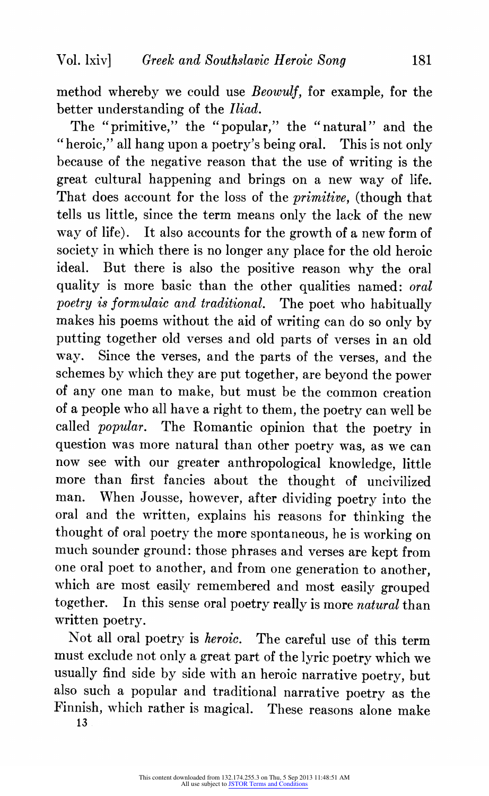method whereby we could use Beowulf, for example, for the better understanding of the Iliad.

The "primitive," the "popular," the "natural" and the "heroic," all hang upon a poetry's being oral. This is not only because of the negative reason that the use of writing is the great cultural happening and brings on a new way of life. That does account for the loss of the *primitive*, (though that tells us little, since the term means only the lack of the new way of life). It also accounts for the growth of a new form of society in which there is no longer any place for the old heroic ideal. But there is also the positive reason why the oral quality is more basic than the other qualities named: oral poetry is formulaic and traditional. The poet who habitually makes his poems without the aid of writing can do so only by putting together old verses and old parts of verses in an old way. Since the verses, and the parts of the verses, and the schemes by which they are put together, are beyond the power of any one man to make, but must be the common creation of a people who all have a right to them, the poetry can well be called popular. The Romantic opinion that the poetry in question was more natural than other poetry was, as we can now see with our greater anthropological knowledge, little more than first fancies about the thought of uncivilized man. When Jousse, however, after dividing poetry into the oral and the written, explains his reasons for thinking the thought of oral poetry the more spontaneous, he is working on much sounder ground: those phrases and verses are kept from one oral poet to another, and from one generation to another, which are most easily remembered and most easily grouped together. In this sense oral poetry really is more natural than written poetry.

Not all oral poetry is heroic. The careful use of this term must exclude not only a great part of the lyric poetry which we usually find side by side with an heroic narrative poetry, but also such a popular and traditional narrative poetry as the Finnish, which rather is magical. These reasons alone make

13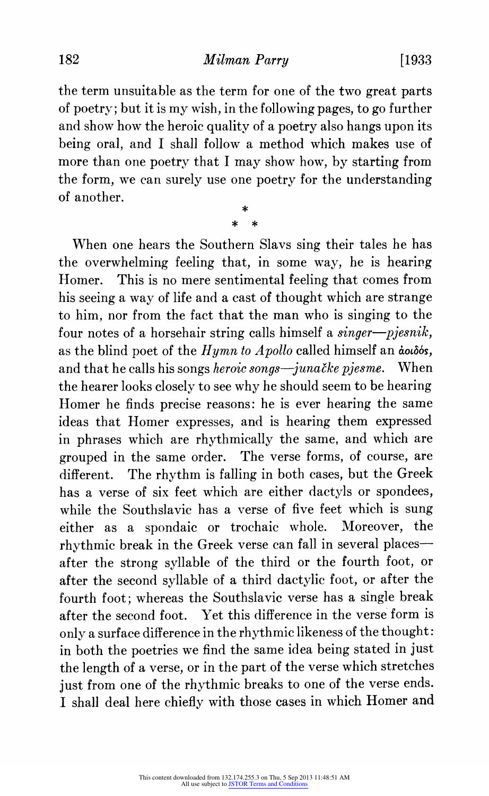182 *Milman Parry* [1933]

the term unsuitable as the term for one of the two great parts of poetry; but it is my wish, in the following pages, to go further and show how the heroic quality of a poetry also hangs upon its being oral, and I shall follow a method which makes use of more than one poetry that I may show how, by starting from the form, we can surely use one poetry for the understanding of another.

\* \*

When one hears the Southern Slavs sing their tales he has the overwhelming feeling that, in some way, he is hearing Homer. This is no mere sentimental feeling that comes from his seeing a way of life and a cast of thought which are strange to him, nor from the fact that the man who is singing to the four notes of a horsehair string calls himself a singer-pjesnik, as the blind poet of the  $Hymn$  to  $A$ pollo called himself an  $\omega\delta\phi$ s, and that he calls his songs *heroic songs—junacke piesme*. When the hearer looks closely to see why he should seem to be hearing Homer he finds precise reasons: he is ever hearing the same ideas that Homer expresses, and is hearing them expressed in phrases which are rhythmically the same, and which are grouped in the same order. The verse forms, of course, are different. The rhythm is falling in both cases, but the Greek has a verse of six feet which are either dactyls or spondees, while the Southslavic has a verse of five feet which is sung either as a spondaic or trochaic whole. Moreover, the rhythmic break in the Greek verse can fall in several placesafter the strong syllable of the third or the fourth foot, or after the second syllable of a third dactylic foot, or after the fourth foot; whereas the Southslavic verse has a single break after the second foot. Yet this difference in the verse form is only a surface difference in the rhythmic likeness of the thought: in both the poetries we find the same idea being stated in just the length of a verse, or in the part of the verse which stretches just from one of the rhythmic breaks to one of the verse ends. I shall deal here chiefly with those cases in which Homer and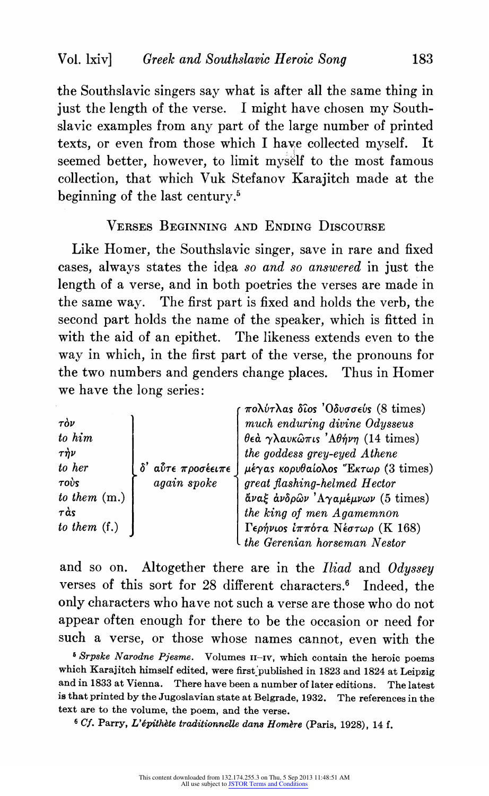the Southslavic singers say what is after all the same thing in just the length of the verse. I might have chosen my Southslavic examples from any part of the large number of printed texts, or even from those which I have collected myself. It seemed better, however, to limit myself to the most famous collection, that which Vuk Stefanov Karajitch made at the beginning of the last century.5

# VERSES BEGINNING AND ENDING DISCOURSE

Like Homer, the Southslavic singer, save in rare and fixed cases, always states the idea so and so answered in just the length of a verse, and in both poetries the verses are made in the same way. The first part is fixed and holds the verb, the second part holds the name of the speaker, which is fitted in with the aid of an epithet. The likeness extends even to the way in which, in the first part of the verse, the pronouns for the two numbers and genders change places. Thus in Homer we have the long series:

|                         |                             | πολύτλας δίος 'Οδυσσεύς (8 times)  |
|-------------------------|-----------------------------|------------------------------------|
| $\tau \dot{\alpha} \nu$ |                             | much enduring divine Odysseus      |
| to him                  |                             | θεά γλαυκώπις 'Αθήνη (14 times)    |
| $\tau \dot{n} \nu$      |                             | the goddess grey-eyed Athene       |
| to her                  | αὖτε προσέειπε<br>$\delta'$ | μέγας κορυθαίολος "Έκτωρ (3 times) |
| $\tau$ oùs              | again spoke                 | great flashing-helmed Hector       |
| to them $(m.)$          |                             | άναξ ανδρών 'Αγαμέμνων (5 times)   |
| $\tau$ às               |                             | the king of men Agamemnon          |
| to them $(f.)$          |                             | Γερήνιος ίππότα Νέστωρ (Κ 168)     |
|                         |                             | the Gerenian horseman Nestor       |

and so on. Altogether there are in the Iliad and Odyssey verses of this sort for 28 different characters.<sup>6</sup> Indeed, the only characters who have not such a verse are those who do not appear often enough for there to be the occasion or need for such a verse, or those whose names cannot, even with the

<sup>5</sup> Srpske Narodne Pjesme. Volumes II-IV, which contain the heroic poems which Karajitch himself edited, were first published in 1823 and 1824 at Leipzig<br>and in 1833 at Vienna. There have been a number of later editions. The latest There have been a number of later editions. The latest is that printed by the Jugoslavian state at Belgrade, 1932. The references in the text are to the volume, the poem, and the verse.

 $6Cf$ . Parry, L'épithète traditionnelle dans Homère (Paris, 1928), 14 f.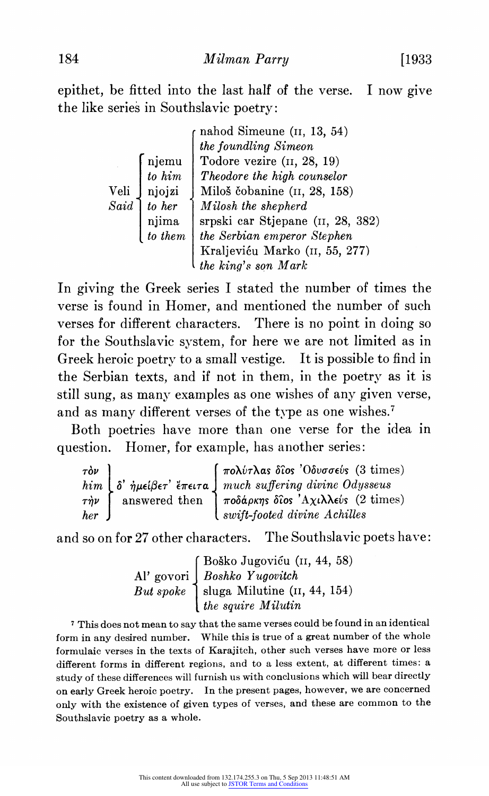epithet, be fitted into the last half of the verse. I now give the like series in Southslavic poetry:

|      |                                                             | nahod Simeune (II, 13, 54)<br>the foundling Simeon                                   |
|------|-------------------------------------------------------------|--------------------------------------------------------------------------------------|
|      | $\begin{array}{c} \text{njem} \\ \text{to him} \end{array}$ | Todore vezire (II, 28, 19)                                                           |
|      |                                                             | Theodore the high counselor                                                          |
| Veli | njojzi                                                      | Miloš čobanine (II, 28, 158)                                                         |
| Said | to her                                                      | Milosh the shepherd                                                                  |
|      | njima                                                       | srpski car Stjepane (II, 28, 382)                                                    |
|      | to them                                                     |                                                                                      |
|      |                                                             |                                                                                      |
|      |                                                             | the Serbian emperor Stephen<br>Kraljeviću Marko (11, 55, 277)<br>the king's son Mark |

In giving the Greek series I stated the number of times the verse is found in Homer, and mentioned the number of such verses for different characters. There is no point in doing so for the Southslavic system, for here we are not limited as in Greek heroic poetry to a small vestige. It is possible to find in the Serbian texts, and if not in them, in the poetry as it is still sung, as many examples as one wishes of any given verse, and as many different verses of the type as one wishes.<sup>7</sup>

Both poetries have more than one verse for the idea in question. Homer, for example, has another series:

| $\tau \dot{\mathsf{o}} \nu$ | $\int \pi \mathbf{o} \lambda \dot{v} \tau \lambda \mathbf{a} s$ δίος 'Οδυσσεύς (3 times)                                                      |
|-----------------------------|-----------------------------------------------------------------------------------------------------------------------------------------------|
|                             | him $\delta'$ $\eta$ μείβετ' έπειτα   much suffering divine Odysseus                                                                          |
|                             | $\tau \dot{\eta} \nu$ answered then $\eta \tau$ $\delta \dot{\alpha} \rho \kappa \eta s$ $\delta \dot{\alpha} \delta s$ 'Axindress' (2 times) |
| her                         | swift-footed divine Achilles                                                                                                                  |

and so on for 27 other characters. The Southslavic poets have:

Boško Jugoviću (11, 44, 58) Al' govori  $\int$  Boshko Yugovitch But spoke  $\left\{ \right.$  sluga Milutine (II, 44, 154) l the squire Milutin

7 This does not mean to say that the same verses could be found in an identical form in any desired number. While this is true of a great number of the whole formulaic verses in the texts of Karajitch, other such verses have more or less different forms in different regions, and to a less extent, at different times: a study of these differences will furnish us with conclusions which will bear directly on early Greek heroic poetry. In the present pages, however, we are concerned only with the existence of given types of verses, and these are common to the Southslavic poetry as a whole.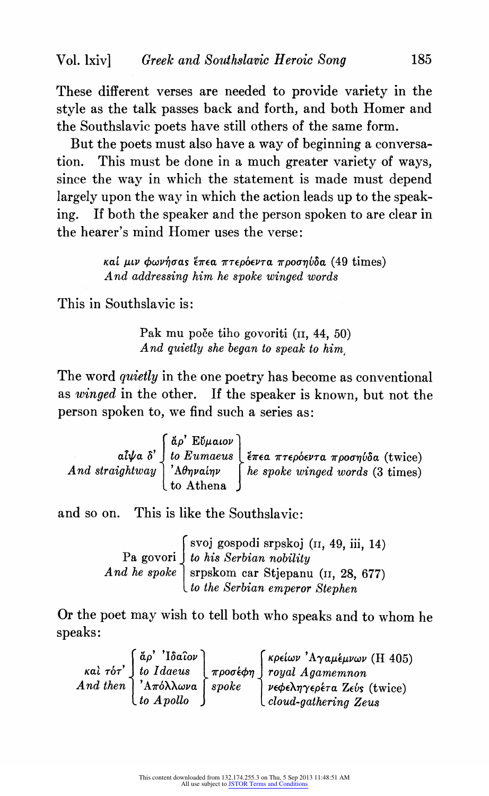These different verses are needed to provide variety in the style as the talk passes back and forth, and both Homer and the Southslavic poets have still others of the same form.

But the poets must also have a way of beginning a conversation. This must be done in a much greater variety of ways, since the way in which the statement is made must depend largely upon the way in which the action leads up to the speaking. If both the speaker and the person spoken to are clear in the hearer's mind Homer uses the verse:

> καί μιν φωνήσας έπεα πτερόεντα προσηύδα (49 times) And addressing him he spoke winged words

This in Southslavic is:

Pak mu poče tiho govoriti (II, 44, 50) And quietly she began to speak to him.

The word *quietly* in the one poetry has become as conventional as winged in the other. If the speaker is known, but not the person spoken to, we find such a series as:

 $\int$  ă $\rho$ ' E $\tilde{v}$ μαιον  $\Big)$ ał $\psi$ a δ' ] to Eumaeus [ ἔπεα πτερόεντα προσηύδα (twice) | And straightway | 'A $\theta$ ηναίην | he spoke winged words (3 times) to Athena J

and so on. This is like the Southslavic:

F svoj gospodi srpskoj (ii, 49, iii, 14) Pa govori  $\int$  to his Serbian nobility And he spoke | srpskom car Stjepanu (11, 28, 677) to the Serbian emperor Stephen

Or the poet may wish to tell both who speaks and to whom he speaks:

 $\begin{bmatrix}\n\breve{a}\rho' & I\breve{b}a\hat{c}ov\n\end{bmatrix}$  (κρείων 'Αγαμέμνων (Η 405) καὶ τότ'  $\big\}$  to Idaeus  $\big\downarrow$  προσέφη  $\big\}$  royal Agamemnon  $\big\downarrow$ And then  $\vert$  'A $\pi$ όλλωνa  $\vert$  spoke  $\vert$  νεφελη $\gamma$ ερέτα Zεύs (twice) to Apollo  $\int$  (cloud-gathering Zeus)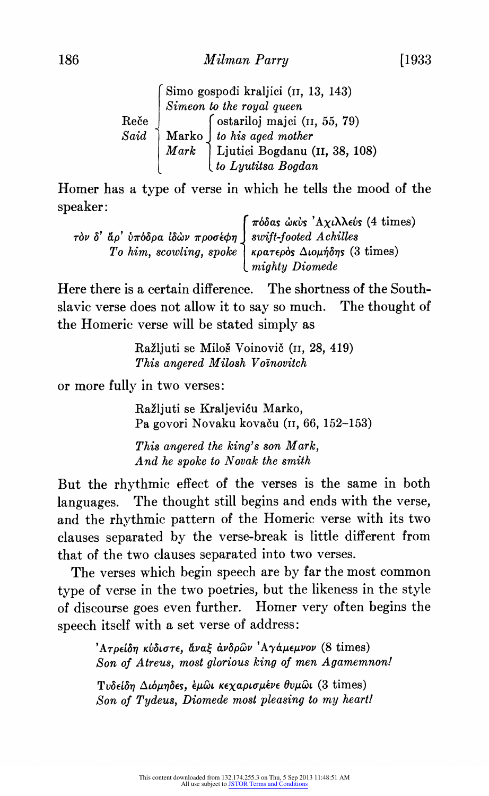Simo gospodi kraljici (II, 13, 143) Simeon to the royal queen Reče | fostariloj majci (11, 55, 79)  $Said \left[$  Marko to his aged mother  $\textit{Mark} \ \ \big|$  Ljutici Bogdanu (II, 38, 108) to Lyutitsa Bogdan

Homer has a type of verse in which he tells the mood of the speaker:

|  | $\int \pi$ όδαs ἀκὺs 'Αχιλλεύs (4 times)<br>τὸν δ' ἄρ' ὑπόδρα ἰδὼν προσέφη $\int$ swift-footed Achilles |
|--|---------------------------------------------------------------------------------------------------------|
|  | To him, scowling, spoke   κρατερός Διομήδης (3 times)                                                   |
|  | $\lfloor$ mighty Diomede                                                                                |

Here there is a certain difference. The shortness of the Southslavic verse does not allow it to say so much. The thought of the Homeric verse will be stated simply as

> Ražljuti se Miloš Voinovič (II, 28, 419) This angered Milosh Voinovitch

or more fully in two verses:

Ražljuti se Kraljeviću Marko, Pa govori Novaku kovaču (II, 66, 152-153)

This angered the king's son Mark, And he spoke to Novak the smith

But the rhythmic effect of the verses is the same in both languages. The thought still begins and ends with the verse, and the rhythmic pattern of the Homeric verse with its two clauses separated by the verse-break is little different from that of the two clauses separated into two verses.

The verses which begin speech are by far the most common type of verse in the two poetries, but the likeness in the style of discourse goes even further. Homer very often begins the speech itself with a set verse of address:

> 'Ατρείδη κύδιστε, άναξ ανδρών 'Αγαμεμνον (8 times) Son of Atreus, most glorious king of men Agamemnon!

Tυδείδη Διόμηδες, έμωι κεχαρισμένε θυμωι (3 times) Son of Tydeus, Diomede most pleasing to my heart!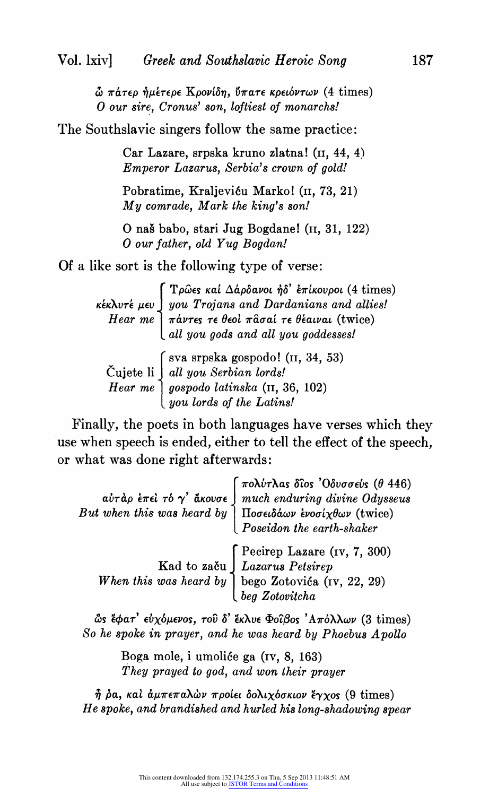$\hat{\omega}$  πάτερ ήμέτερε Κρονίδη, ύπατε κρειόντων (4 times) 0 our sire, Cronus' son, loftiest of monarchs!

The Southslavic singers follow the same practice:

Car Lazare, srpska kruno zlatna! (ii, 44, 4) Emperor Lazarus, Serbia's crown of gold!

Pobratime, Kraljeviću Marko! (n. 73, 21) My comrade, Mark the king's son!

O naš babo, stari Jug Bogdane! (II, 31, 122) O our father, old Yug Bogdan!

Of a like sort is the following type of verse:

| <i>κέκλυτέ μευ</i> $\begin{cases} T \rho \hat{\omega}$ es καί Δάρδανοι ήδ' <i>επίκουροι</i> (4 times)<br><i>Kέκλυτέ μευ</i> $\begin{cases} you Trojans and Dardanians and allies!$<br><i>Hear me</i> $\begin{cases} \pi \hat{\omega}$ ντες τε θεοί πασαί τε θέαιναι (twice)<br>all you gods and all you goddesses! |
|--------------------------------------------------------------------------------------------------------------------------------------------------------------------------------------------------------------------------------------------------------------------------------------------------------------------|
| $\text{Cujete li} \begin{cases} \text{sva srpska gospodol (II, 34, 53)} \\ \text{all you Serbian lords!} \\ \text{Heart me} \\ \text{gospodo latinska (II, 36, 102)} \\ \text{you lords of the Latins!} \end{cases}$                                                                                               |

Finally, the poets in both languages have verses which they use when speech is ended, either to tell the effect of the speech, or what was done right afterwards:

| $air$ λολύτλας δίος 'Οδυσσεύς (θ 446)<br>αύτ άρ έπελ τό γ' ἄκουσε   much enduring divine Odysseus<br>But when this was heard by   Ποσειδάων ένοσίχθων (twice)<br>Poseidon the earth-shaker               |
|----------------------------------------------------------------------------------------------------------------------------------------------------------------------------------------------------------|
| <b>Kad to začu</b> $\begin{cases} \text{Pecirep} \text{ Lazarus } (iv, 7, 300) \\ \text{Lazarus } \text{Petsirep} \\ \text{bego Zotovića (rv, 22, 29)} \\ \text{bego Zotovića (rv, 22, 29)} \end{cases}$ |

 $\hat{\omega}$ s έφατ' εὐχόμενοs, τοῦ δ' ἔκλνε Φοῖβος 'Απόλλων (3 times) So he spoke in prayer, and he was heard by Phoebus Apollo

> Boga mole, i umoliće ga (IV, 8, 163) They prayed to god, and won their prayer

 $\hat{\eta}$  ρα, και αμπεπαλών προίει δολιχόσκιον έγχος (9 times) He spoke, and brandished and hurled his long-shadowing spear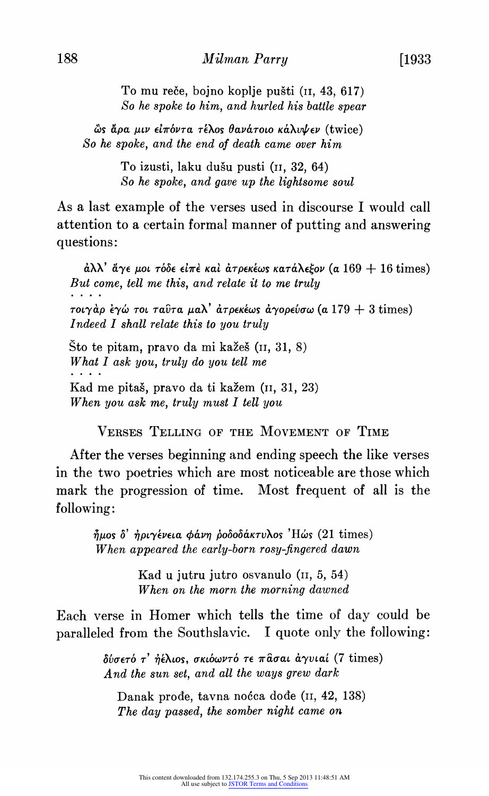To mu reče, bojno koplje pušti (II, 43, 617) So he spoke to him, and hurled his battle spear

 $\mathring{\omega}$ s apa μιν είπόντα τέλος θανάτοιο κάλυ $\mathcal{V}$ εν (twice) So he spoke, and the end of death came over him

> To izusti, laku dusu pusti (ii, 32, 64) So he spoke, and gave up the lightsome soul

As a last example of the verses used in discourse I would call attention to a certain formal manner of putting and answering questions:

άλλ' άγε μοι τόδε είπε και ατρεκέως κατάλεξον (α  $169 + 16$  times) But come, tell me this, and relate it to me truly τοιγάρ έγώ τοι ταῦτα μαλ' άτρεκέως άγορεύσω (α 17 $9+3$  times) Indeed I shall relate this to you truly Sto te pitam, pravo da mi kazes (ii, 31, 8) What I ask you, truly do you tell me Kad me pitas, pravo da ti kazem (ii, 31, 23)

When you ask me, truly must I tell you

VERSES TELLING OF THE MOVEMENT OF TIME

After the verses beginning and ending speech the like verses in the two poetries which are most noticeable are those which mark the progression of time. Most frequent of all is the following:

 $\hat{\eta}$ μος δ' ήριγένεια φάνη ροδοδάκτυλος 'Hώς (21 times) When appeared the early-born rosy-fingered dawn

> Kad u jutru jutro osvanulo (ii, 5, 54) When on the morn the morning dawned

Each verse in Homer which tells the time of day could be paralleled from the Southslavic. I quote only the following:

> δύσετό τ' ήέλιος, σκιόωντό τε πάσαι άγυιαί (7 times) And the sun set, and all the ways grew dark

Danak prode, tavna noćca dođe (II, 42, 138) The day passed, the somber night came on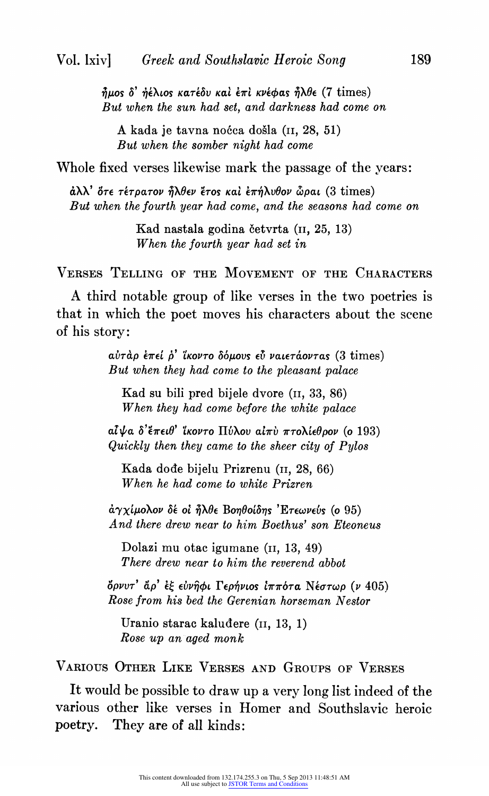$\hat{n}$ μος δ' ήέλιος κατέδυ και έπι κνέφας  $\hat{n}$ λθε (7 times) But when the sun had set, and darkness had come on

A kada je tavna nocca dosla (ii, 28, 51) But when the somber night had come

Whole fixed verses likewise mark the passage of the years:

 $d\lambda\lambda'$  ότε τέτρατον ήλθεν έτος και επήλυθον ώραι (3 times) But when the fourth year had come, and the seasons had come on

> Kad nastala godina četvrta (II, 25, 13) When the fourth year had set in

VERSES TELLING OF THE MOVEMENT OF THE CHARACTERS

A third notable group of like verses in the two poetries is that in which the poet moves his characters about the scene of his story:

> $\alpha\dot{\nu}\tau\dot{\alpha}\rho$  *e* $\pi\epsilon\dot{\mu}$  *o' 'Welves*  $\delta\dot{\nu}$  *Walerapras* (3 times) But when they had come to the pleasant palace

Kad su bili pred bijele dvore (ii, 33, 86) When they had come before the white palace

 $a\tilde{i}\psi a \delta'$ έπειθ' ϊκοντο Πύλου αίπὺ πτολίεθρον (ο 193) Quickly then they came to the sheer city of Pylos

Kada dode bijelu Prizrenu (ii, 28, 66) When he had come to white Prizren

 $\dot{\alpha}\gamma\chi$ ίμολον δέ οί ήλθε Βοηθοίδης 'Ετεωνεύς (ο 95) And there drew near to him Boethus' son Eteoneus

Dolazi mu otac igumane (ii, 13, 49) There drew near to him the reverend abbot

 $\phi$ ρνυτ' ἄρ' έξ εὐνῆφι Γερήνιος ίππότα Νέστωρ (ν 405) Rose from his bed the Gerenian horseman Nestor

Uranio starac kaludere (ii, 13, 1) Rose up an aged monk

VARIOUS OTHER LIKE VERSES AND GROUPS OF VERSES

It would be possible to draw up a very long list indeed of the various other like verses in Homer and Southslavic heroic poetry. They are of all kinds: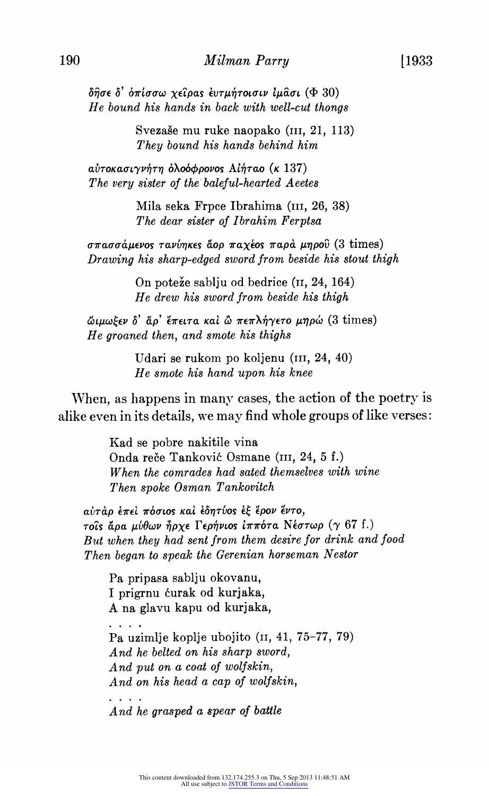δήσε δ' όπίσσω χείρας έυτμήτοισιν ίμασι ( $\Phi$  30) He bound his hands in back with well-cut thongs

> Svezaše mu ruke naopako (III, 21, 113) They bound his hands behind him

aύτοκασιγνήτη όλοόφρονος Αίήταο (κ 137) The very sister of the baleful-hearted Aeetes

> Mila seka Frpce Ibrahima (III, 26, 38) The dear sister of Ibrahim Ferptsa

 $\sigma\pi\alpha\sigma\sigma\alpha\mu\epsilon\nu$ os  $\tau\alpha\nu\omega\eta\kappa\epsilon s$  dop  $\pi\alpha\chi\epsilon$ os  $\pi\alpha\rho\alpha$   $\mu\eta\rho$ ou (3 times) Drawing his sharp-edged sword from beside his stout thigh

> On poteže sablju od bedrice (II, 24, 164) He drew his sword from beside his thigh

 $\omega$ ιμωξεν δ' άρ' έπειτα καί  $\omega$  πεπλήγετο μηρώ (3 times) He groaned then, and smote his thighs

> Udari se rukom po koljenu (III, 24, 40) He smote his hand upon his knee

When, as happens in many cases, the action of the poetry is alike even in its details, we may find whole groups of like verses:

> Kad se pobre nakitile vina Onda reče Tanković Osmane (III, 24, 5 f.) When the comrades had sated themselves with wine Then spoke Osman Tankovitch

αὐτάρ ἐπεὶ πόσιος καὶ ἐδητύος ἐξ ἔρον ἕντο, τοΐς άρα μύθων ἦρχε Γερήνιος ἱππότα Νέστωρ (γ 67 f.) But when they had sent from them desire for drink and food Then began to speak the Gerenian horseman Nestor

Pa pripasa sablju okovanu, I prigrnu curak od kurjaka, A na glavu kapu od kurjaka, Pa uzimlje koplje ubojito (II, 41, 75-77, 79) And he belted on his sharp sword, And put on a coat of wolfskin, And on his head a cap of wolfskin, And he grasped a spear of battle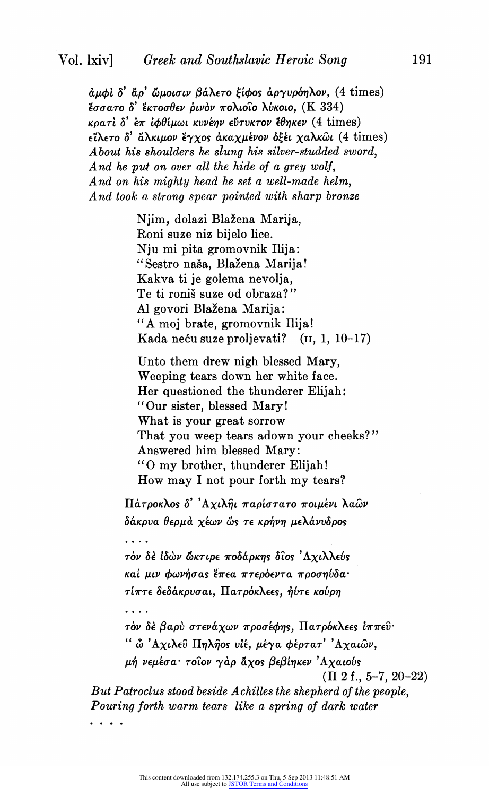$\dot{\alpha}$ μφίδ' άρ' ὤμοισιν βάλετο ξίφος άργυρόηλον, (4 times) έσσατο δ' έκτοσθεν ρινον πολιοΐο λύκοιο, (Κ 334) κρατί δ' έπ ιφθίμωι κυνέην εύτυκτον έθηκεν (4 times)  $\epsilon$ ΐλετο δ' ἄλκιμον ἔγχος ἀκαχμένον ὀξέι χαλκῶι (4 times) About his shoulders he slung his silver-studded sword, And he put on over all the hide of a grey wolf, And on his mighty head he set a well-made helm, And took a strong spear pointed with sharp bronze

> Njim, dolazi Blažena Marija, Roni suze niz bijelo lice. Nju mi pita gromovnik Ilija: "Sestro naša, Blažena Marija! Kakva ti je golema nevolja, Te ti ronis suze od obraza?" Al govori Blazena Marija: "A moj brate, gromovnik Ilija!<br>Kada neću suze proljevati? (II. 1. 10-17) Kada neću suze proljevati?

Unto them drew nigh blessed Mary, Weeping tears down her white face. Her questioned the thunderer Elijah: "Our sister, blessed Mary! What is your great sorrow That you weep tears adown your cheeks?" Answered him blessed Mary: "O my brother, thunderer Elijah! How may I not pour forth my tears?

Πάτροκλος δ' 'Αχιληνι παρίστατο ποιμένι λαών δάκρυα θερμά χέων ώς τε κρήνη μελάνυδρος

τον δε ίδών ὤκτιρε ποδάρκης δίος 'Αχιλλεύς καί μιν φωνήσας έπεα πτερόεντα προσηύδα· τίπτε δεδάκρυσαι, Πατρόκλεες, ήύτε κούρη

 $\overline{1}$   $\overline{1}$   $\overline{1}$ 

 $\ddot{\phantom{a}}$ 

τον δέ βαρύ στενάχων προσέφης, Πατρόκλεες ίππεῦ· "  $\ddot{\omega}$  'Axileo IInlinos vie, μέγα φέρτατ' 'Axaiων,  $\mu$ ή νεμέσα· τοίον γάρ άχος βεβίηκεν 'Αχαιούς

(II 2 f., 5-7, 20-22) But Patroclus stood beside Achilles the shepherd of the people, Pouring forth warm tears like a spring of dark water . . . .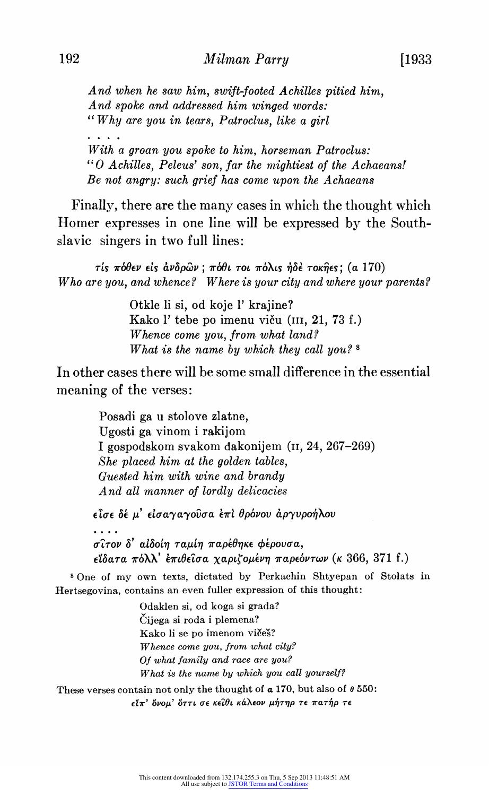And when he saw him, swift-footed Achilles pitied him, And spoke and addressed him winged words: "Why are you in tears, Patroclus, like a girl With a groan you spoke to him, horseman Patroclus: "0 Achilles, Peleus' son, far the mightiest of the Achaeans! Be not angry: such grief has come upon the Achaeans

Finally, there are the many cases in which the thought which Homer expresses in one line will be expressed by the Southslavic singers in two full lines:

 $\tau$ ίς πόθεν είς άνδρων; πόθι τοι πόλις ήδε τοκήες; (α 170) Who are you, and whence? Where is your city and where your parents?

> Otkle 1i si, od koje 1' krajine? Kako l' tebe po imenu viču (III, 21, 73 f.) Whence come you, from what land? What is the name by which they call you?<sup>8</sup>

In other cases there will be some small difference in the essential meaning of the verses:

> Posadi ga u stolove zlatne, Ugosti ga vinom i rakijom I gospodskom svakom dakonijem (II, 24, 267-269) She placed him at the golden tables, Guested him with wine and brandy And all manner of lordly delicacies

εΐσε δέ μ' είσαγαγούσα έπι θρόνου αργυροήλου

. . . .  $\sigma$ ίτον δ' αίδοίη ταμίη παρέθηκε φέρουσα,  $\epsilon$ ίδατα πόλλ' έπιθείσα χαριζομένη παρεόντων (κ 366, 371 f.)

8 One of my own texts, dictated by Perkachin Shtyepan of Stolats in Hertsegovina, contains an even fuller expression of this thought:

> Odaklen si, od koga si grada? Cijega si roda i plemena? Kako li se po imenom vičeš? Whence come you, from what city? Of what family and race are you? What is the name by which you call yourself?

These verses contain not only the thought of  $a$  170, but also of  $\theta$  550: είπ' όνομ' όττι σε κείθι κάλεον μήτηρ τε πατήρ τε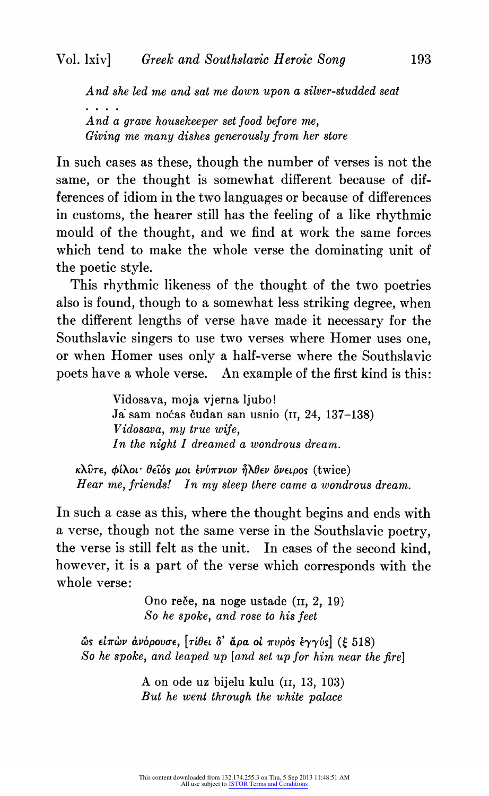And she led me and sat me down upon a silver-studded seat And a grave housekeeper set food before me, Giving me many dishes generously from her store

In such cases as these, though the number of verses is not the same, or the thought is somewhat different because of differences of idiom in the two languages or because of differences in customs, the hearer still has the feeling of a like rhythmic mould of the thought, and we find at work the same forces which tend to make the whole verse the dominating unit of the poetic style.

This rhythmic likeness of the thought of the two poetries also is found, though to a somewhat less striking degree, when the different lengths of verse have made it necessary for the Southslavic singers to use two verses where Homer uses one, or when Homer uses only a half-verse where the Southslavic poets have a whole verse. An example of the first kind is this:

> Vidosava, moja vjerna Ijubo! Ja sam nocas 6udan san usnio (ii, 24, 137-138) Vidosava, my true wife, In the night I dreamed a wondrous dream.

 $\kappa\lambda\hat{v}\tau\epsilon$ , φίλοι· θεΐός μοι ενύπνιον ήλθεν ὄνειρος (twice) Hear me, friends! In my sleep there came a wondrous dream.

In such a case as this, where the thought begins and ends with a verse, though not the same verse in the Southslavic poetry, the verse is still felt as the unit. In cases of the second kind, however, it is a part of the verse which corresponds with the whole verse:

> Ono reče, na noge ustade ( $\text{II}, 2, 19$ ) So he spoke, and rose to his feet

 $\ddot{\omega}$ s είπ $\dot{\omega}$ ν άνόρουσε, [τίθει δ' άρα οί πυρόs έγγύs] (ξ 518) So he spoke, and leaped up [and set up for him near the fire]

> A on ode uz bijelu kulu (II, 13, 103) But he went through the white palace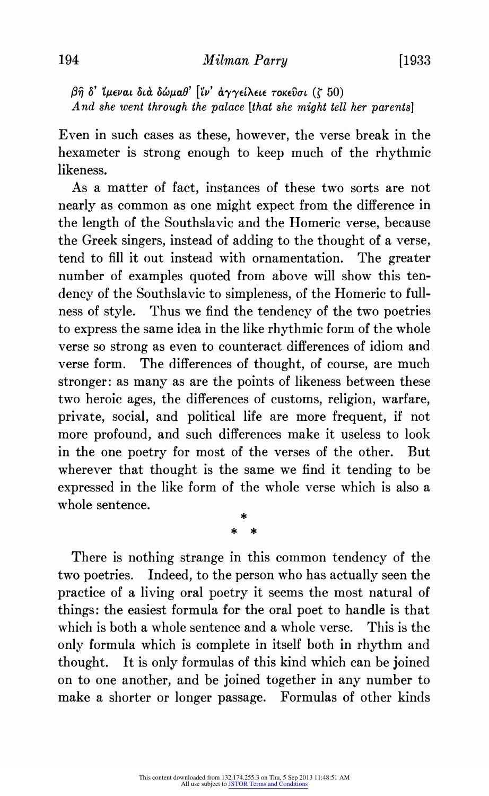$\beta$ η δ' ϊμεναι διά δώμαθ' [[ν' άγγείλειε τοκεῦσι (ζ 50) And she went through the palace [that she might tell her parents]

Even in such cases as these, however, the verse break in the hexameter is strong enough to keep much of the rhythmic likeness.

As a matter of fact, instances of these two sorts are not nearly as common as one might expect from the difference in the length of the Southslavic and the Homeric verse, because the Greek singers, instead of adding to the thought of a verse, tend to fill it out instead with ornamentation. The greater number of examples quoted from above will show this tendency of the Southslavic to simpleness, of the Homeric to fullness of style. Thus we find the tendency of the two poetries to express the same idea in the like rhythmic form of the whole verse so strong as even to counteract differences of idiom and verse form. The differences of thought, of course, are much stronger: as many as are the points of likeness between these two heroic ages, the differences of customs, religion, warfare, private, social, and political life are more frequent, if not more profound, and such differences make it useless to look in the one poetry for most of the verses of the other. But wherever that thought is the same we find it tending to be expressed in the like form of the whole verse which is also a whole sentence.

There is nothing strange in this common tendency of the two poetries. Indeed, to the person who has actually seen the practice of a living oral poetry it seems the most natural of things: the easiest formula for the oral poet to handle is that which is both a whole sentence and a whole verse. This is the only formula which is complete in itself both in rhythm and thought. It is only formulas of this kind which can be joined on to one another, and be joined together in any number to make a shorter or longer passage. Formulas of other kinds

\* \*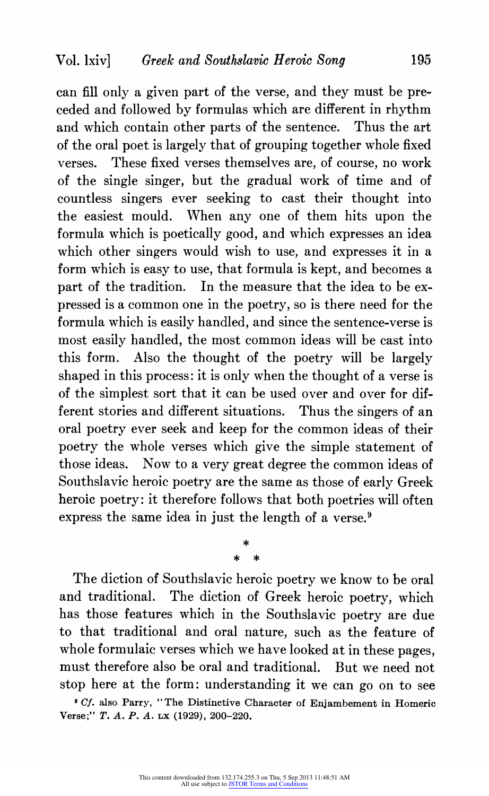can fill only a given part of the verse, and they must be pre- ceded and followed by formulas which are different in rhythm and which contain other parts of the sentence. Thus the art of the oral poet is largely that of grouping together whole fixed verses. These fixed verses themselves are, of course, no work of the single singer, but the gradual work of time and of countless singers ever seeking to cast their thought into the easiest mould. When any one of them hits upon the formula which is poetically good, and which expresses an idea which other singers would wish to use, and expresses it in a form which is easy to use, that formula is kept, and becomes a part of the tradition. In the measure that the idea to be expressed is a common one in the poetry, so is there need for the formula which is easily handled, and since the sentence-verse is most easily handled, the most common ideas will be cast into this form. Also the thought of the poetry will be largely shaped in this process: it is only when the thought of a verse is of the simplest sort that it can be used over and over for different stories and different situations. Thus the singers of an oral poetry ever seek and keep for the common ideas of their poetry the whole verses which give the simple statement of those ideas. Now to a very great degree the common ideas of Southslavic heroic poetry are the same as those of early Greek heroic poetry: it therefore follows that both poetries will often express the same idea in just the length of a verse.<sup>9</sup>

The diction of Southslavic heroic poetry we know to be oral and traditional. The diction of Greek heroic poetry, which has those features which in the Southslavic poetry are due to that traditional and oral nature, such as the feature of whole formulaic verses which we have looked at in these pages, must therefore also be oral and traditional. But we need not stop here at the form: understanding it we can go on to see

\* \* \*

<sup>9</sup> Cf. also Parry, "The Distinctive Character of Enjambement in Homeric Verse;" T. A. P. A. LX (1929), 200-220.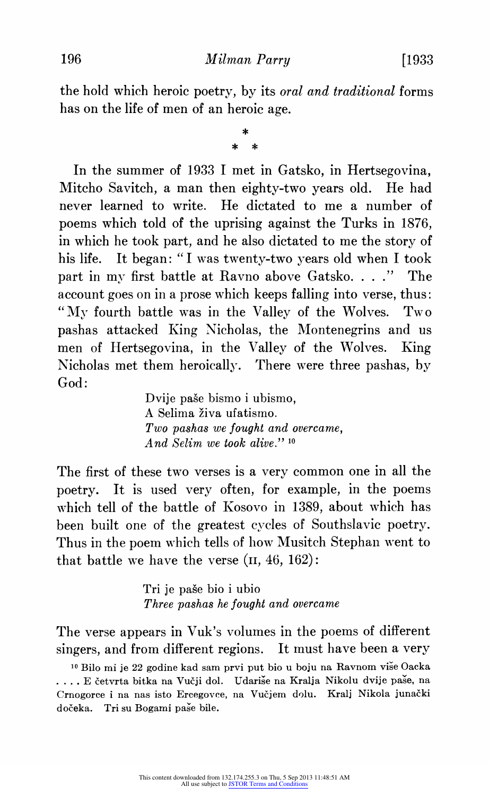196 *Milman Parry* [1933]

the hold which heroic poetry, by its oral and traditional forms has on the life of men of an heroic age.

\* \*

In the summer of 1933 I met in Gatsko, in Hertsegovina, Mitcho Savitch, a man then eighty-two years old. He had never learned to write. He dictated to me a number of poems which told of the uprising against the Turks in 1876, in which he took part, and he also dictated to me the story of his life. It began: " I was twenty-two years old when I took part in my first battle at Ravno above Gatsko...." The account goes on in a prose which keeps falling into verse, thus: "My fourth battle was in the Valley of the Wolves. Two pashas attacked King Nicholas, the Montenegrins and us men of Hertsegovina, in the Valley of the Wolves. King Nicholas met them heroically. There were three pashas, by God:

> Dvije pase bismo i ubismo, A Selima ziva ufatismo. Two pashas we fought and overcame, And Selim we took alive." 10

The first of these two verses is a very common one in all the poetry. It is used very often, for example, in the poems which tell of the battle of Kosovo in 1389, about which has been built one of the greatest cycles of Southslavic poetry. Thus in the poem which tells of lhow Musitch Stephan went to that battle we have the verse  $(n, 46, 162)$ :

> Tri je pase bio i ubio Three pashas he fought and overcame

The verse appears in Vuk's volumes in the poems of different singers, and from different regions. It must have been a very

10 Bilo mi je 22 godine kad sam prvi put bio u boju na Ravnom vise Oacka . . . . E četvrta bitka na Vučji dol. Udariše na Kralja Nikolu dvije paše, na Crnogorce i na nas isto Ercegovce, na Vucjem dolu. Kralj Nikola junacki doceka. Tri su Bogami pase bile.